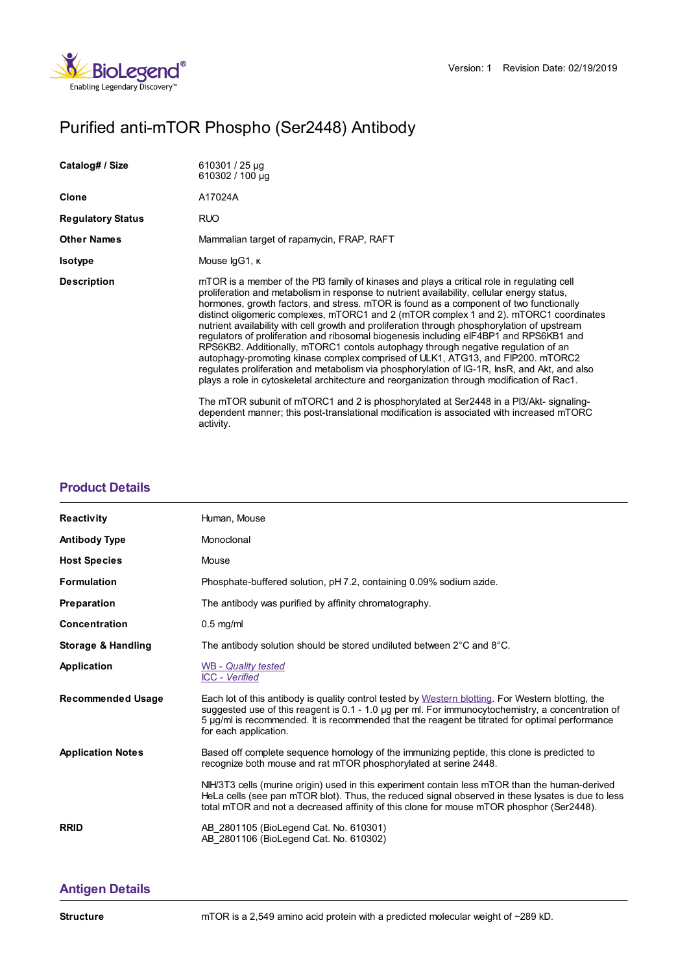

# Purified anti-mTOR Phospho (Ser2448) Antibody

| Catalog# / Size          | 610301 / 25 µg<br>610302 / 100 µg                                                                                                                                                                                                                                                                                                                                                                                                                                                                                                                                                                                                                                                                                                                                                                                                                                                                                                                                                                                                                                                                                                                |
|--------------------------|--------------------------------------------------------------------------------------------------------------------------------------------------------------------------------------------------------------------------------------------------------------------------------------------------------------------------------------------------------------------------------------------------------------------------------------------------------------------------------------------------------------------------------------------------------------------------------------------------------------------------------------------------------------------------------------------------------------------------------------------------------------------------------------------------------------------------------------------------------------------------------------------------------------------------------------------------------------------------------------------------------------------------------------------------------------------------------------------------------------------------------------------------|
| Clone                    | A17024A                                                                                                                                                                                                                                                                                                                                                                                                                                                                                                                                                                                                                                                                                                                                                                                                                                                                                                                                                                                                                                                                                                                                          |
| <b>Regulatory Status</b> | <b>RUO</b>                                                                                                                                                                                                                                                                                                                                                                                                                                                                                                                                                                                                                                                                                                                                                                                                                                                                                                                                                                                                                                                                                                                                       |
| <b>Other Names</b>       | Mammalian target of rapamycin, FRAP, RAFT                                                                                                                                                                                                                                                                                                                                                                                                                                                                                                                                                                                                                                                                                                                                                                                                                                                                                                                                                                                                                                                                                                        |
| <b>Isotype</b>           | Mouse IgG1, K                                                                                                                                                                                                                                                                                                                                                                                                                                                                                                                                                                                                                                                                                                                                                                                                                                                                                                                                                                                                                                                                                                                                    |
| <b>Description</b>       | mTOR is a member of the PI3 family of kinases and plays a critical role in regulating cell<br>proliferation and metabolism in response to nutrient availability, cellular energy status,<br>hormones, growth factors, and stress. mTOR is found as a component of two functionally<br>distinct oligomeric complexes, mTORC1 and 2 (mTOR complex 1 and 2). mTORC1 coordinates<br>nutrient availability with cell growth and proliferation through phosphorylation of upstream<br>requiators of proliferation and ribosomal biogenesis including eIF4BP1 and RPS6KB1 and<br>RPS6KB2. Additionally, mTORC1 contols autophagy through negative regulation of an<br>autophagy-promoting kinase complex comprised of ULK1, ATG13, and FIP200. mTORC2<br>regulates proliferation and metabolism via phosphorylation of IG-1R, InsR, and Akt, and also<br>plays a role in cytoskeletal architecture and reorganization through modification of Rac1.<br>The mTOR subunit of mTORC1 and 2 is phosphorylated at Ser2448 in a Pl3/Akt- signaling-<br>dependent manner; this post-translational modification is associated with increased mTORC<br>activity. |

## **[Product](https://www.biolegend.com/en-ie/products/purified-anti-mtor-phospho-ser2448-antibody-17352?pdf=true&displayInline=true&leftRightMargin=15&topBottomMargin=15&filename=Purified anti-mTOR Phospho (Ser2448) Antibody.pdf#productDetails) Details**

| <b>Reactivity</b>             | Human, Mouse                                                                                                                                                                                                                                                                                                                       |
|-------------------------------|------------------------------------------------------------------------------------------------------------------------------------------------------------------------------------------------------------------------------------------------------------------------------------------------------------------------------------|
| <b>Antibody Type</b>          | Monoclonal                                                                                                                                                                                                                                                                                                                         |
| <b>Host Species</b>           | Mouse                                                                                                                                                                                                                                                                                                                              |
| <b>Formulation</b>            | Phosphate-buffered solution, pH 7.2, containing 0.09% sodium azide.                                                                                                                                                                                                                                                                |
| Preparation                   | The antibody was purified by affinity chromatography.                                                                                                                                                                                                                                                                              |
| Concentration                 | $0.5$ mg/ml                                                                                                                                                                                                                                                                                                                        |
| <b>Storage &amp; Handling</b> | The antibody solution should be stored undiluted between $2^{\circ}$ C and $8^{\circ}$ C.                                                                                                                                                                                                                                          |
| Application                   | WB - Quality tested<br><b>ICC</b> - Verified                                                                                                                                                                                                                                                                                       |
| <b>Recommended Usage</b>      | Each lot of this antibody is quality control tested by Western blotting. For Western blotting, the<br>suggested use of this reagent is 0.1 - 1.0 µg per ml. For immunocytochemistry, a concentration of<br>5 µg/ml is recommended. It is recommended that the reagent be titrated for optimal performance<br>for each application. |
| <b>Application Notes</b>      | Based off complete sequence homology of the immunizing peptide, this clone is predicted to<br>recognize both mouse and rat mTOR phosphorylated at serine 2448.                                                                                                                                                                     |
|                               | NIH/3T3 cells (murine origin) used in this experiment contain less mTOR than the human-derived<br>HeLa cells (see pan mTOR blot). Thus, the reduced signal observed in these lysates is due to less<br>total mTOR and not a decreased affinity of this clone for mouse mTOR phosphor (Ser2448).                                    |
| <b>RRID</b>                   | AB 2801105 (BioLegend Cat. No. 610301)<br>AB 2801106 (BioLegend Cat. No. 610302)                                                                                                                                                                                                                                                   |

## **[Antigen](https://www.biolegend.com/en-ie/products/purified-anti-mtor-phospho-ser2448-antibody-17352?pdf=true&displayInline=true&leftRightMargin=15&topBottomMargin=15&filename=Purified anti-mTOR Phospho (Ser2448) Antibody.pdf#antigenDetails) Details**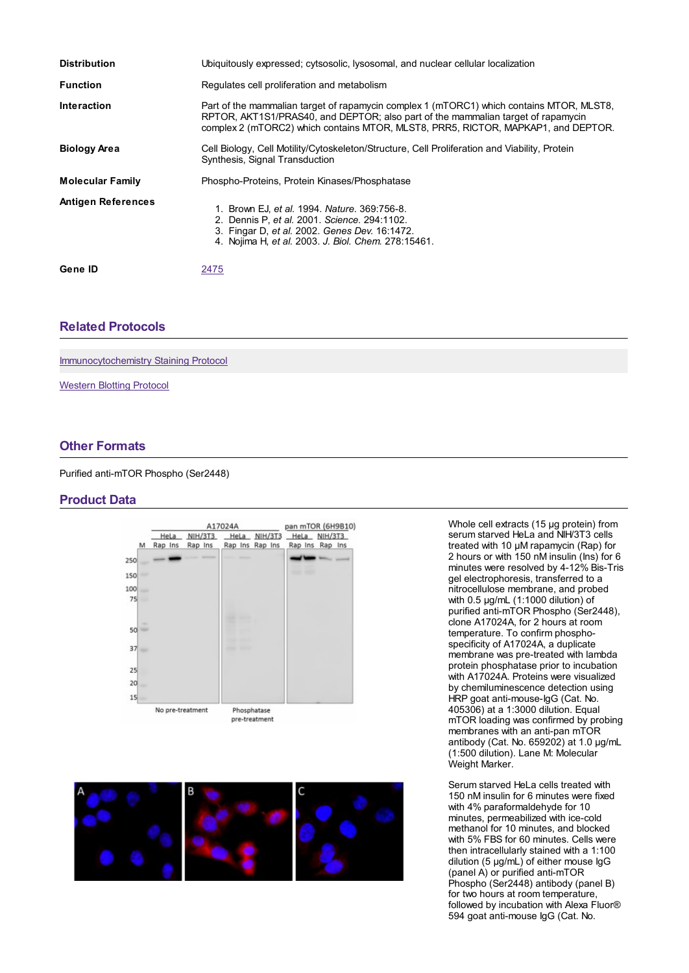| <b>Distribution</b>       | Ubiquitously expressed; cytsosolic, lysosomal, and nuclear cellular localization                                                                                                                                                                                  |
|---------------------------|-------------------------------------------------------------------------------------------------------------------------------------------------------------------------------------------------------------------------------------------------------------------|
| <b>Function</b>           | Regulates cell proliferation and metabolism                                                                                                                                                                                                                       |
| <b>Interaction</b>        | Part of the mammalian target of rapamycin complex 1 (mTORC1) which contains MTOR, MLST8,<br>RPTOR, AKT1S1/PRAS40, and DEPTOR; also part of the mammalian target of rapamycin<br>complex 2 (mTORC2) which contains MTOR, MLST8, PRR5, RICTOR, MAPKAP1, and DEPTOR. |
| <b>Biology Area</b>       | Cell Biology, Cell Motility/Cytoskeleton/Structure, Cell Proliferation and Viability, Protein<br>Synthesis, Signal Transduction                                                                                                                                   |
| <b>Molecular Family</b>   | Phospho-Proteins, Protein Kinases/Phosphatase                                                                                                                                                                                                                     |
| <b>Antigen References</b> | 1. Brown EJ, et al. 1994. Nature. 369:756-8.<br>2. Dennis P. et al. 2001. Science. 294:1102.<br>3. Fingar D, et al. 2002. Genes Dev. 16:1472.<br>4. Nojima H, et al. 2003. J. Biol. Chem. 278:15461.                                                              |
| Gene ID                   | 2475                                                                                                                                                                                                                                                              |

### **Related [Protocols](https://www.biolegend.com/en-ie/products/purified-anti-mtor-phospho-ser2448-antibody-17352?pdf=true&displayInline=true&leftRightMargin=15&topBottomMargin=15&filename=Purified anti-mTOR Phospho (Ser2448) Antibody.pdf#productRelatedProtocols)**

[Immunocytochemistry](https://www.biolegend.com/protocols/immunocytochemistry-staining-protocol/4275/) Staining Protocol

[Western](https://www.biolegend.com/protocols/western-blotting-protocol/4269/) Blotting Protocol

#### **Other [Formats](https://www.biolegend.com/en-ie/products/purified-anti-mtor-phospho-ser2448-antibody-17352?pdf=true&displayInline=true&leftRightMargin=15&topBottomMargin=15&filename=Purified anti-mTOR Phospho (Ser2448) Antibody.pdf#productOtherFormats)**

Purified anti-mTOR Phospho (Ser2448)

### **Product Data**





Whole cell extracts (15 µg protein) from serum starved HeLa and NIH/3T3 cells treated with 10 µM rapamycin (Rap) for 2 hours or with 150 nM insulin (Ins) for 6 minutes were resolved by 4-12% Bis-Tris gel electrophoresis, transferred to a nitrocellulose membrane, and probed with 0.5 µg/mL (1:1000 dilution) of purified anti-mTOR Phospho (Ser2448), clone A17024A, for 2 hours at room temperature. To confirm phosphospecificity of A17024A, a duplicate membrane was pre-treated with lambda protein phosphatase prior to incubation with A17024A. Proteins were visualized by chemiluminescence detection using HRP goat anti-mouse-IgG (Cat. No. 405306) at a 1:3000 dilution. Equal mTOR loading was confirmed by probing membranes with an anti-pan mTOR antibody (Cat. No. 659202) at 1.0 µg/mL (1:500 dilution). Lane M: Molecular Weight Marker.

Serum starved HeLa cells treated with 150 nM insulin for 6 minutes were fixed with 4% paraformaldehyde for 10 minutes, permeabilized with ice-cold methanol for 10 minutes, and blocked with 5% FBS for 60 minutes. Cells were then intracellularly stained with a 1:100 dilution (5 µg/mL) of either mouse IgG (panel A) or purified anti-mTOR Phospho (Ser2448) antibody (panel B) for two hours at room temperature, followed by incubation with Alexa Fluor® 594 goat anti-mouse IgG (Cat. No.